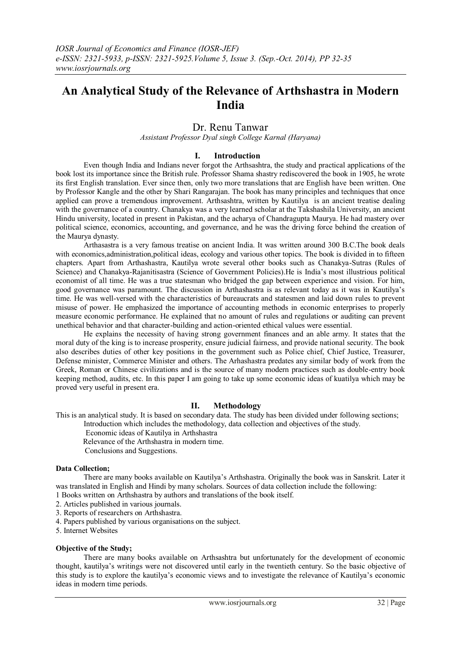# **An Analytical Study of the Relevance of Arthshastra in Modern India**

# Dr. Renu Tanwar

*Assistant Professor Dyal singh College Karnal (Haryana)*

# **I. Introduction**

Even though India and Indians never forgot the Arthsashtra, the study and practical applications of the book lost its importance since the British rule. Professor Shama shastry rediscovered the book in 1905, he wrote its first English translation. Ever since then, only two more translations that are English have been written. One by Professor Kangle and the other by Shari Rangarajan. The book has many principles and techniques that once applied can prove a tremendous improvement. Arthsashtra, written by Kautilya is an ancient treatise dealing with the governance of a country. Chanakya was a very learned scholar at the Takshashila University, an ancient Hindu university, located in present in Pakistan, and the acharya of Chandragupta Maurya. He had mastery over political science, economics, accounting, and governance, and he was the driving force behind the creation of the Maurya dynasty.

Arthasastra is a very famous treatise on ancient India. It was written around 300 B.C.The book deals with economics, administration, political ideas, ecology and various other topics. The book is divided in to fifteen chapters. Apart from Arthashastra, Kautilya wrote several other books such as Chanakya-Sutras (Rules of Science) and Chanakya-Rajanitisastra (Science of Government Policies).He is India"s most illustrious political economist of all time. He was a true statesman who bridged the gap between experience and vision. For him, good governance was paramount. The discussion in Arthashastra is as relevant today as it was in Kautilya"s time. He was well-versed with the characteristics of bureaucrats and statesmen and laid down rules to prevent misuse of power. He emphasized the importance of accounting methods in economic enterprises to properly measure economic performance. He explained that no amount of rules and regulations or auditing can prevent unethical behavior and that character-building and action-oriented ethical values were essential.

He explains the necessity of having strong government finances and an able army. It states that the moral duty of the king is to increase prosperity, ensure judicial fairness, and provide national security. The book also describes duties of other key positions in the government such as Police chief, Chief Justice, Treasurer, Defense minister, Commerce Minister and others. The Arhashastra predates any similar body of work from the Greek, Roman or Chinese civilizations and is the source of many modern practices such as double-entry book keeping method, audits, etc. In this paper I am going to take up some economic ideas of kuatilya which may be proved very useful in present era.

#### **II. Methodology**

This is an analytical study. It is based on secondary data. The study has been divided under following sections;

Introduction which includes the methodology, data collection and objectives of the study.

Economic ideas of Kautilya in Arthshastra

Relevance of the Arthshastra in modern time.

Conclusions and Suggestions.

#### **Data Collection;**

There are many books available on Kautilya"s Arthshastra. Originally the book was in Sanskrit. Later it was translated in English and Hindi by many scholars. Sources of data collection include the following: 1 Books written on Arthshastra by authors and translations of the book itself.

2. Articles published in various journals.

3. Reports of researchers on Arthshastra.

4. Papers published by various organisations on the subject.

5. Internet Websites

#### **Objective of the Study;**

There are many books available on Arthsashtra but unfortunately for the development of economic thought, kautilya"s writings were not discovered until early in the twentieth century. So the basic objective of this study is to explore the kautilya"s economic views and to investigate the relevance of Kautilya"s economic ideas in modern time periods.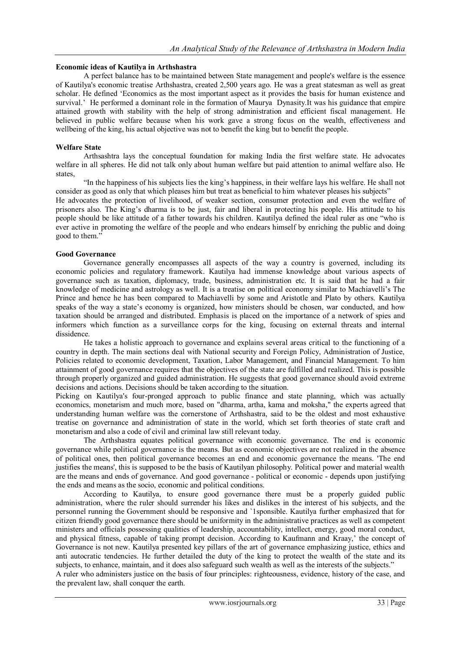#### **Economic ideas of Kautilya in Arthshastra**

A perfect balance has to be maintained between State management and people's welfare is the essence of Kautilya's economic treatise Arthshastra, created 2,500 years ago. He was a great statesman as well as great scholar. He defined "Economics as the most important aspect as it provides the basis for human existence and survival." He performed a dominant role in the formation of Maurya Dynasity.It was his guidance that empire attained growth with stability with the help of strong administration and efficient fiscal management. He believed in public welfare because when his work gave a strong focus on the wealth, effectiveness and wellbeing of the king, his actual objective was not to benefit the king but to benefit the people.

# **Welfare State**

Arthsashtra lays the conceptual foundation for making India the first welfare state. He advocates welfare in all spheres. He did not talk only about human welfare but paid attention to animal welfare also. He states,

"In the happiness of his subjects lies the king"s happiness, in their welfare lays his welfare. He shall not consider as good as only that which pleases him but treat as beneficial to him whatever pleases his subjects" He advocates the protection of livelihood, of weaker section, consumer protection and even the welfare of prisoners also. The King"s dharma is to be just, fair and liberal in protecting his people. His attitude to his people should be like attitude of a father towards his children. Kautilya defined the ideal ruler as one "who is ever active in promoting the welfare of the people and who endears himself by enriching the public and doing good to them."

# **Good Governance**

Governance generally encompasses all aspects of the way a country is governed, including its economic policies and regulatory framework. Kautilya had immense knowledge about various aspects of governance such as taxation, diplomacy, trade, business, administration etc. It is said that he had a fair knowledge of medicine and astrology as well. It is a treatise on political economy similar to Machiavelli"s The Prince and hence he has been compared to Machiavelli by some and Aristotle and Plato by others. Kautilya speaks of the way a state's economy is organized, how ministers should be chosen, war conducted, and how taxation should be arranged and distributed. Emphasis is placed on the importance of a network of spies and informers which function as a surveillance corps for the king, focusing on external threats and internal dissidence.

He takes a holistic approach to governance and explains several areas critical to the functioning of a country in depth. The main sections deal with National security and Foreign Policy, Administration of Justice, Policies related to economic development, Taxation, Labor Management, and Financial Management. To him attainment of good governance requires that the objectives of the state are fulfilled and realized. This is possible through properly organized and guided administration. He suggests that good governance should avoid extreme decisions and actions. Decisions should be taken according to the situation.

Picking on Kautilya's four-pronged approach to public finance and state planning, which was actually economics, monetarism and much more, based on "dharma, artha, kama and moksha," the experts agreed that understanding human welfare was the cornerstone of Arthshastra, said to be the oldest and most exhaustive treatise on governance and administration of state in the world, which set forth theories of state craft and monetarism and also a code of civil and criminal law still relevant today.

The Arthshastra equates political governance with economic governance. The end is economic governance while political governance is the means. But as economic objectives are not realized in the absence of political ones, then political governance becomes an end and economic governance the means. 'The end justifies the means', this is supposed to be the basis of Kautilyan philosophy. Political power and material wealth are the means and ends of governance. And good governance - political or economic - depends upon justifying the ends and means as the socio, economic and political conditions.

According to Kautilya, to ensure good governance there must be a properly guided public administration, where the ruler should surrender his likes and dislikes in the interest of his subjects, and the personnel running the Government should be responsive and `1sponsible. Kautilya further emphasized that for citizen friendly good governance there should be uniformity in the administrative practices as well as competent ministers and officials possessing qualities of leadership, accountability, intellect, energy, good moral conduct, and physical fitness, capable of taking prompt decision. According to Kaufmann and Kraay," the concept of Governance is not new. Kautilya presented key pillars of the art of governance emphasizing justice, ethics and anti autocratic tendencies. He further detailed the duty of the king to protect the wealth of the state and its subjects, to enhance, maintain, and it does also safeguard such wealth as well as the interests of the subjects." A ruler who administers justice on the basis of four principles: righteousness, evidence, history of the case, and the prevalent law, shall conquer the earth.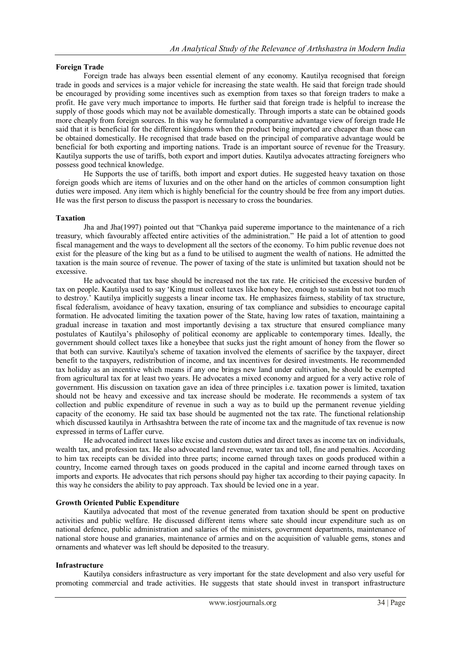# **Foreign Trade**

Foreign trade has always been essential element of any economy. Kautilya recognised that foreign trade in goods and services is a major vehicle for increasing the state wealth. He said that foreign trade should be encouraged by providing some incentives such as exemption from taxes so that foreign traders to make a profit. He gave very much importance to imports. He further said that foreign trade is helpful to increase the supply of those goods which may not be available domestically. Through imports a state can be obtained goods more cheaply from foreign sources. In this way he formulated a comparative advantage view of foreign trade He said that it is beneficial for the different kingdoms when the product being imported are cheaper than those can be obtained domestically. He recognised that trade based on the principal of comparative advantage would be beneficial for both exporting and importing nations. Trade is an important source of revenue for the Treasury. Kautilya supports the use of tariffs, both export and import duties. Kautilya advocates attracting foreigners who possess good technical knowledge.

He Supports the use of tariffs, both import and export duties. He suggested heavy taxation on those foreign goods which are items of luxuries and on the other hand on the articles of common consumption light duties were imposed. Any item which is highly beneficial for the country should be free from any import duties. He was the first person to discuss the passport is necessary to cross the boundaries.

# **Taxation**

Jha and Jha(1997) pointed out that "Chankya paid supereme importance to the maintenance of a rich treasury, which favourably affected entire activities of the administration." He paid a lot of attention to good fiscal management and the ways to development all the sectors of the economy. To him public revenue does not exist for the pleasure of the king but as a fund to be utilised to augment the wealth of nations. He admitted the taxation is the main source of revenue. The power of taxing of the state is unlimited but taxation should not be excessive.

He advocated that tax base should be increased not the tax rate. He criticised the excessive burden of tax on people. Kautilya used to say "King must collect taxes like honey bee, enough to sustain but not too much to destroy." Kautilya implicitly suggests a linear income tax. He emphasizes fairness, stability of tax structure, fiscal federalism, avoidance of heavy taxation, ensuring of tax compliance and subsidies to encourage capital formation. He advocated limiting the taxation power of the State, having low rates of taxation, maintaining a gradual increase in taxation and most importantly devising a tax structure that ensured compliance many postulates of Kautilya"s philosophy of political economy are applicable to contemporary times. Ideally, the government should collect taxes like a honeybee that sucks just the right amount of honey from the flower so that both can survive. Kautilya's scheme of taxation involved the elements of sacrifice by the taxpayer, direct benefit to the taxpayers, redistribution of income, and tax incentives for desired investments. He recommended tax holiday as an incentive which means if any one brings new land under cultivation, he should be exempted from agricultural tax for at least two years. He advocates a mixed economy and argued for a very active role of government. His discussion on taxation gave an idea of three principles i.e. taxation power is limited, taxation should not be heavy and excessive and tax increase should be moderate. He recommends a system of tax collection and public expenditure of revenue in such a way as to build up the permanent revenue yielding capacity of the economy. He said tax base should be augmented not the tax rate. The functional relationship which discussed kautilya in Arthsashtra between the rate of income tax and the magnitude of tax revenue is now expressed in terms of Laffer curve.

He advocated indirect taxes like excise and custom duties and direct taxes as income tax on individuals, wealth tax, and profession tax. He also advocated land revenue, water tax and toll, fine and penalties. According to him tax receipts can be divided into three parts; income earned through taxes on goods produced within a country, Income earned through taxes on goods produced in the capital and income earned through taxes on imports and exports. He advocates that rich persons should pay higher tax according to their paying capacity. In this way he considers the ability to pay approach. Tax should be levied one in a year.

#### **Growth Oriented Public Expenditure**

Kautilya advocated that most of the revenue generated from taxation should be spent on productive activities and public welfare. He discussed different items where sate should incur expenditure such as on national defence, public administration and salaries of the ministers, government departments, maintenance of national store house and granaries, maintenance of armies and on the acquisition of valuable gems, stones and ornaments and whatever was left should be deposited to the treasury.

#### **Infrastructure**

Kautilya considers infrastructure as very important for the state development and also very useful for promoting commercial and trade activities. He suggests that state should invest in transport infrastructure